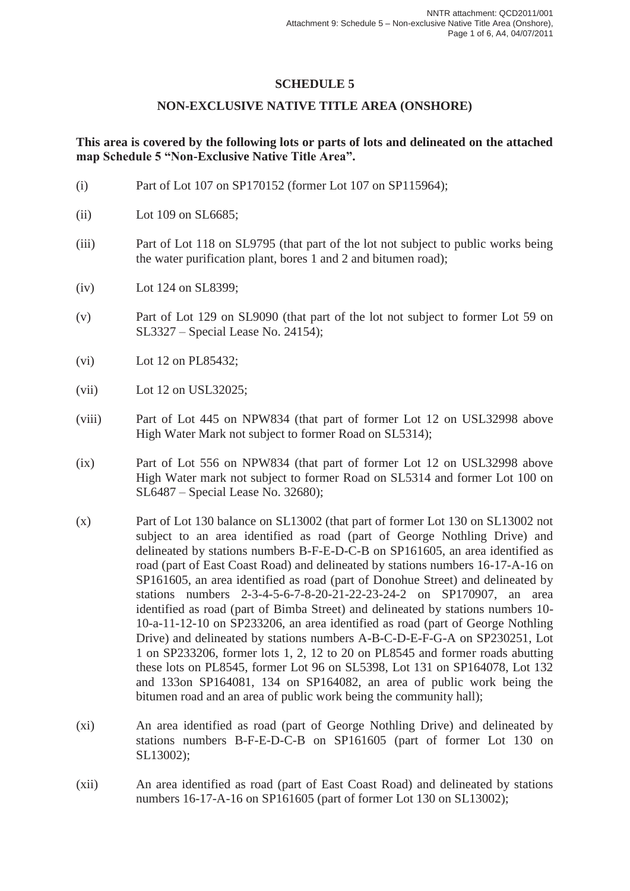## **SCHEDULE 5**

## **NON-EXCLUSIVE NATIVE TITLE AREA (ONSHORE)**

## **This area is covered by the following lots or parts of lots and delineated on the attached map Schedule 5 "Non-Exclusive Native Title Area".**

- (i) Part of Lot 107 on SP170152 (former Lot 107 on SP115964);
- (ii) Lot 109 on SL6685;
- (iii) Part of Lot 118 on SL9795 (that part of the lot not subject to public works being the water purification plant, bores 1 and 2 and bitumen road);
- (iv) Lot 124 on SL8399;
- (v) Part of Lot 129 on SL9090 (that part of the lot not subject to former Lot 59 on SL3327 – Special Lease No. 24154);
- (vi) Lot 12 on PL85432;
- (vii) Lot 12 on USL32025;
- (viii) Part of Lot 445 on NPW834 (that part of former Lot 12 on USL32998 above High Water Mark not subject to former Road on SL5314);
- (ix) Part of Lot 556 on NPW834 (that part of former Lot 12 on USL32998 above High Water mark not subject to former Road on SL5314 and former Lot 100 on SL6487 – Special Lease No. 32680);
- (x) Part of Lot 130 balance on SL13002 (that part of former Lot 130 on SL13002 not subject to an area identified as road (part of George Nothling Drive) and delineated by stations numbers B-F-E-D-C-B on SP161605, an area identified as road (part of East Coast Road) and delineated by stations numbers 16-17-A-16 on SP161605, an area identified as road (part of Donohue Street) and delineated by stations numbers 2-3-4-5-6-7-8-20-21-22-23-24-2 on SP170907, an area identified as road (part of Bimba Street) and delineated by stations numbers 10- 10-a-11-12-10 on SP233206, an area identified as road (part of George Nothling Drive) and delineated by stations numbers A-B-C-D-E-F-G-A on SP230251, Lot 1 on SP233206, former lots 1, 2, 12 to 20 on PL8545 and former roads abutting these lots on PL8545, former Lot 96 on SL5398, Lot 131 on SP164078, Lot 132 and 133on SP164081, 134 on SP164082, an area of public work being the bitumen road and an area of public work being the community hall);
- (xi) An area identified as road (part of George Nothling Drive) and delineated by stations numbers B-F-E-D-C-B on SP161605 (part of former Lot 130 on SL13002);
- (xii) An area identified as road (part of East Coast Road) and delineated by stations numbers 16-17-A-16 on SP161605 (part of former Lot 130 on SL13002);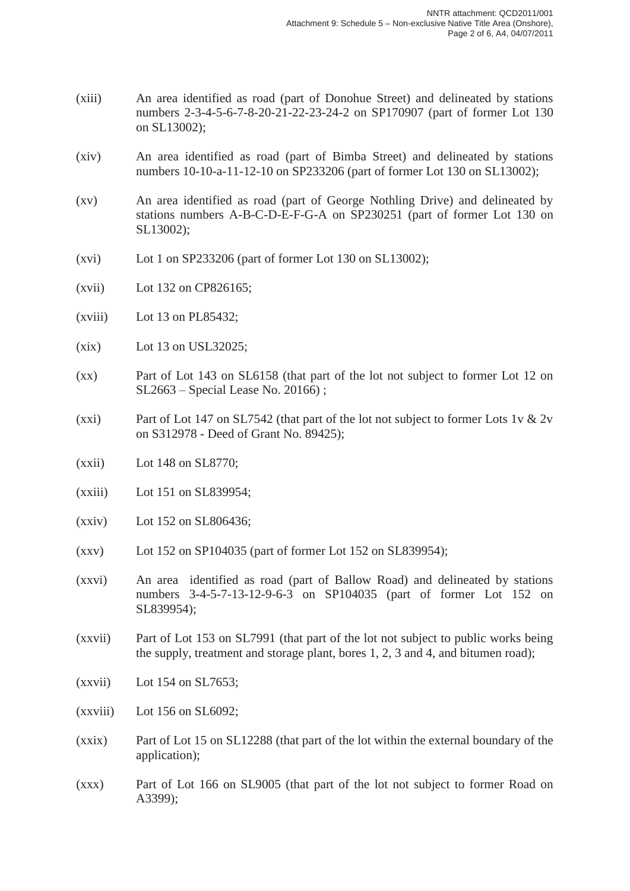- (xiii) An area identified as road (part of Donohue Street) and delineated by stations numbers 2-3-4-5-6-7-8-20-21-22-23-24-2 on SP170907 (part of former Lot 130 on SL13002);
- (xiv) An area identified as road (part of Bimba Street) and delineated by stations numbers 10-10-a-11-12-10 on SP233206 (part of former Lot 130 on SL13002);
- (xv) An area identified as road (part of George Nothling Drive) and delineated by stations numbers A-B-C-D-E-F-G-A on SP230251 (part of former Lot 130 on SL13002);
- (xvi) Lot 1 on SP233206 (part of former Lot 130 on SL13002);
- (xvii) Lot 132 on CP826165;
- (xviii) Lot 13 on PL85432;
- (xix) Lot 13 on USL32025;
- (xx) Part of Lot 143 on SL6158 (that part of the lot not subject to former Lot 12 on SL2663 – Special Lease No. 20166) ;
- (xxi) Part of Lot 147 on SL7542 (that part of the lot not subject to former Lots 1v  $\&$  2v on S312978 - Deed of Grant No. 89425);
- (xxii) Lot 148 on SL8770;
- (xxiii) Lot 151 on SL839954;
- (xxiv) Lot 152 on SL806436;
- (xxv) Lot 152 on SP104035 (part of former Lot 152 on SL839954);
- (xxvi) An area identified as road (part of Ballow Road) and delineated by stations numbers 3-4-5-7-13-12-9-6-3 on SP104035 (part of former Lot 152 on SL839954);
- (xxvii) Part of Lot 153 on SL7991 (that part of the lot not subject to public works being the supply, treatment and storage plant, bores 1, 2, 3 and 4, and bitumen road);
- (xxvii) Lot 154 on SL7653;
- (xxviii) Lot 156 on SL6092;
- (xxix) Part of Lot 15 on SL12288 (that part of the lot within the external boundary of the application);
- (xxx) Part of Lot 166 on SL9005 (that part of the lot not subject to former Road on A3399);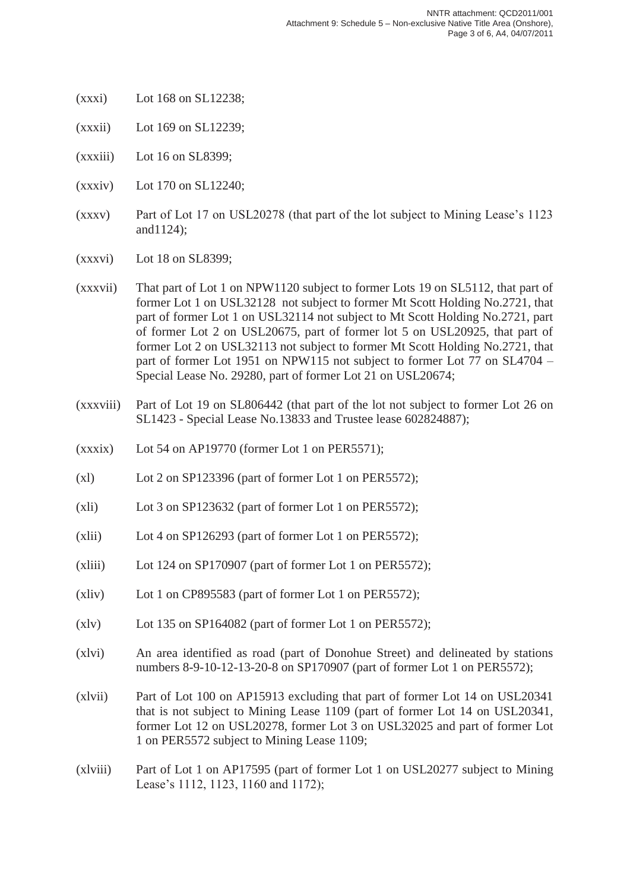- (xxxi) Lot 168 on SL12238;
- (xxxii) Lot 169 on SL12239;
- (xxxiii) Lot 16 on SL8399;
- (xxxiv) Lot 170 on SL12240;
- (xxxv) Part of Lot 17 on USL20278 (that part of the lot subject to Mining Lease's 1123 and1124);
- (xxxvi) Lot 18 on SL8399;
- (xxxvii) That part of Lot 1 on NPW1120 subject to former Lots 19 on SL5112, that part of former Lot 1 on USL32128 not subject to former Mt Scott Holding No.2721, that part of former Lot 1 on USL32114 not subject to Mt Scott Holding No.2721, part of former Lot 2 on USL20675, part of former lot 5 on USL20925, that part of former Lot 2 on USL32113 not subject to former Mt Scott Holding No.2721, that part of former Lot 1951 on NPW115 not subject to former Lot 77 on SL4704 – Special Lease No. 29280, part of former Lot 21 on USL20674;
- (xxxviii) Part of Lot 19 on SL806442 (that part of the lot not subject to former Lot 26 on SL1423 - Special Lease No.13833 and Trustee lease 602824887);
- (xxxix) Lot 54 on AP19770 (former Lot 1 on PER5571);
- (xl) Lot 2 on SP123396 (part of former Lot 1 on PER5572);
- (xli) Lot 3 on SP123632 (part of former Lot 1 on PER5572);
- (xlii) Lot 4 on SP126293 (part of former Lot 1 on PER5572);
- (xliii) Lot 124 on SP170907 (part of former Lot 1 on PER5572);
- (xliv) Lot 1 on CP895583 (part of former Lot 1 on PER5572);
- (xlv) Lot 135 on SP164082 (part of former Lot 1 on PER5572);
- (xlvi) An area identified as road (part of Donohue Street) and delineated by stations numbers 8-9-10-12-13-20-8 on SP170907 (part of former Lot 1 on PER5572);
- (xlvii) Part of Lot 100 on AP15913 excluding that part of former Lot 14 on USL20341 that is not subject to Mining Lease 1109 (part of former Lot 14 on USL20341, former Lot 12 on USL20278, former Lot 3 on USL32025 and part of former Lot 1 on PER5572 subject to Mining Lease 1109;
- (xlviii) Part of Lot 1 on AP17595 (part of former Lot 1 on USL20277 subject to Mining Lease's 1112, 1123, 1160 and 1172);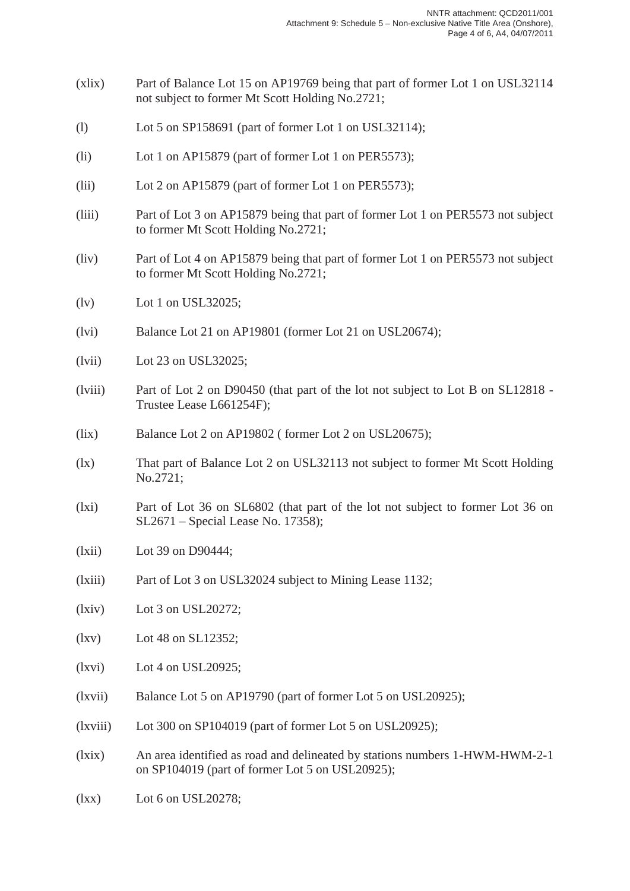- (xlix) Part of Balance Lot 15 on AP19769 being that part of former Lot 1 on USL32114 not subject to former Mt Scott Holding No.2721;
- (l) Lot 5 on SP158691 (part of former Lot 1 on USL32114);
- (li) Lot 1 on AP15879 (part of former Lot 1 on PER5573);
- (lii) Lot 2 on AP15879 (part of former Lot 1 on PER5573);
- (liii) Part of Lot 3 on AP15879 being that part of former Lot 1 on PER5573 not subject to former Mt Scott Holding No.2721;
- (liv) Part of Lot 4 on AP15879 being that part of former Lot 1 on PER5573 not subject to former Mt Scott Holding No.2721;
- (lv) Lot 1 on USL32025;
- (lvi) Balance Lot 21 on AP19801 (former Lot 21 on USL20674);
- (lvii) Lot 23 on USL32025;
- (lviii) Part of Lot 2 on D90450 (that part of the lot not subject to Lot B on SL12818 Trustee Lease L661254F);
- (lix) Balance Lot 2 on AP19802 ( former Lot 2 on USL20675);
- (lx) That part of Balance Lot 2 on USL32113 not subject to former Mt Scott Holding No.2721;
- (lxi) Part of Lot 36 on SL6802 (that part of the lot not subject to former Lot 36 on SL2671 – Special Lease No. 17358);
- (lxii) Lot 39 on D90444;
- (lxiii) Part of Lot 3 on USL32024 subject to Mining Lease 1132;
- (lxiv) Lot 3 on USL20272;
- (lxv) Lot 48 on SL12352;
- $(lxvi)$  Lot 4 on USL20925;
- (lxvii) Balance Lot 5 on AP19790 (part of former Lot 5 on USL20925);
- (lxviii) Lot 300 on SP104019 (part of former Lot 5 on USL20925);
- (lxix) An area identified as road and delineated by stations numbers 1-HWM-HWM-2-1 on SP104019 (part of former Lot 5 on USL20925);
- (lxx) Lot 6 on USL20278;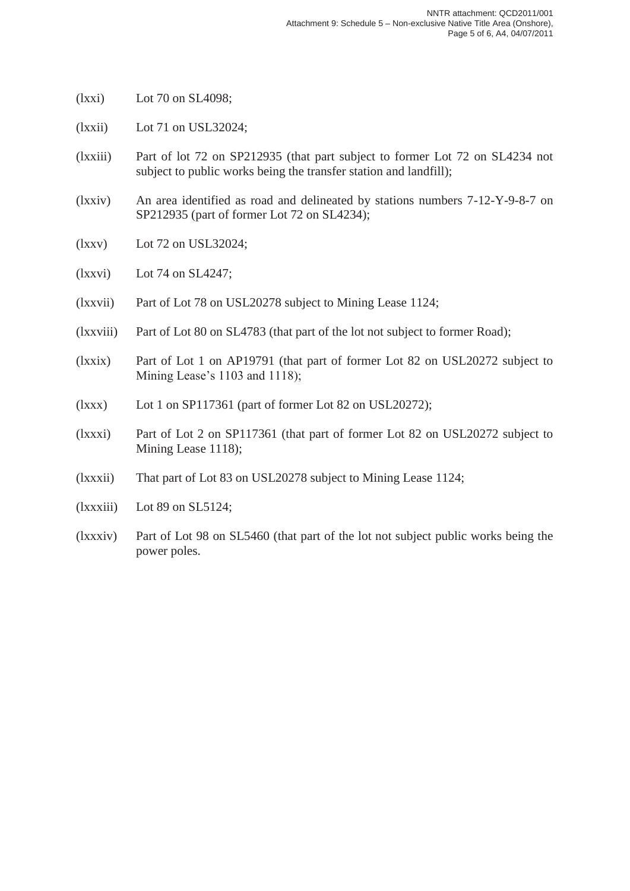- (lxxi) Lot 70 on SL4098;
- (lxxii) Lot 71 on USL32024;
- (lxxiii) Part of lot 72 on SP212935 (that part subject to former Lot 72 on SL4234 not subject to public works being the transfer station and landfill);
- (lxxiv) An area identified as road and delineated by stations numbers 7-12-Y-9-8-7 on SP212935 (part of former Lot 72 on SL4234);
- (lxxv) Lot 72 on USL32024;
- (lxxvi) Lot 74 on SL4247;
- (lxxvii) Part of Lot 78 on USL20278 subject to Mining Lease 1124;
- (lxxviii) Part of Lot 80 on SL4783 (that part of the lot not subject to former Road);
- (lxxix) Part of Lot 1 on AP19791 (that part of former Lot 82 on USL20272 subject to Mining Lease's 1103 and 1118);
- (lxxx) Lot 1 on SP117361 (part of former Lot 82 on USL20272);
- (lxxxi) Part of Lot 2 on SP117361 (that part of former Lot 82 on USL20272 subject to Mining Lease 1118);
- (lxxxii) That part of Lot 83 on USL20278 subject to Mining Lease 1124;
- (lxxxiii) Lot 89 on SL5124;
- (lxxxiv) Part of Lot 98 on SL5460 (that part of the lot not subject public works being the power poles.